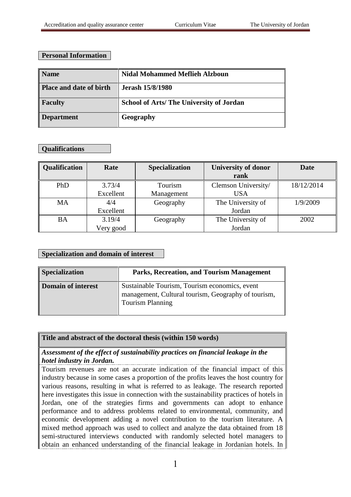## **Personal Information**

| <b>Name</b>                    | <b>Nidal Mohammed Meflieh Alzboun</b>          |
|--------------------------------|------------------------------------------------|
| <b>Place and date of birth</b> | <b>Jerash 15/8/1980</b>                        |
| <b>Faculty</b>                 | <b>School of Arts/The University of Jordan</b> |
| <b>Department</b>              | Geography                                      |

## **Qualifications**

| Qualification | Rate      | <b>Specialization</b> | <b>University of donor</b> | Date       |
|---------------|-----------|-----------------------|----------------------------|------------|
|               |           |                       | rank                       |            |
| PhD           | 3.73/4    | Tourism               | Clemson University/        | 18/12/2014 |
|               | Excellent | Management            | <b>USA</b>                 |            |
| <b>MA</b>     | 4/4       | Geography             | The University of          | 1/9/2009   |
|               | Excellent |                       | Jordan                     |            |
| <b>BA</b>     | 3.19/4    | Geography             | The University of          | 2002       |
|               | Very good |                       | Jordan                     |            |

#### **Specialization and domain of interest**

| <b>Specialization</b>     | Parks, Recreation, and Tourism Management                                                                                       |
|---------------------------|---------------------------------------------------------------------------------------------------------------------------------|
| <b>Domain of interest</b> | Sustainable Tourism, Tourism economics, event<br>management, Cultural tourism, Geography of tourism,<br><b>Tourism Planning</b> |

#### **Title and abstract of the doctoral thesis (within 150 words)**

*Assessment of the effect of sustainability practices on financial leakage in the hotel industry in Jordan.*

Tourism revenues are not an accurate indication of the financial impact of this industry because in some cases a proportion of the profits leaves the host country for various reasons, resulting in what is referred to as leakage. The research reported here investigates this issue in connection with the sustainability practices of hotels in Jordan, one of the strategies firms and governments can adopt to enhance performance and to address problems related to environmental, community, and economic development adding a novel contribution to the tourism literature. A mixed method approach was used to collect and analyze the data obtained from 18 semi-structured interviews conducted with randomly selected hotel managers to obtain an enhanced understanding of the financial leakage in Jordanian hotels. In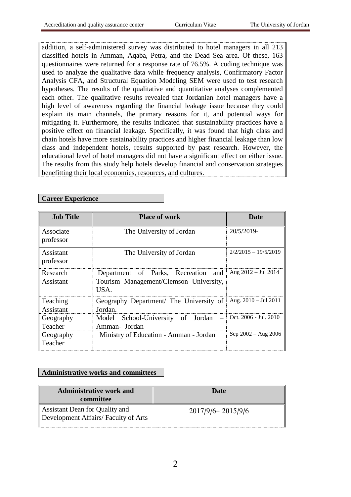addition, a self-administered survey was distributed to hotel managers in all 213 classified hotels in Amman, Aqaba, Petra, and the Dead Sea area. Of these, 163 questionnaires were returned for a response rate of 76.5%. A coding technique was used to analyze the qualitative data while frequency analysis, Confirmatory Factor Analysis CFA, and Structural Equation Modeling SEM were used to test research hypotheses. The results of the qualitative and quantitative analyses complemented each other. The qualitative results revealed that Jordanian hotel managers have a high level of awareness regarding the financial leakage issue because they could explain its main channels, the primary reasons for it, and potential ways for mitigating it. Furthermore, the results indicated that sustainability practices have a positive effect on financial leakage. Specifically, it was found that high class and chain hotels have more sustainability practices and higher financial leakage than low class and independent hotels, results supported by past research. However, the educational level of hotel managers did not have a significant effect on either issue. The results from this study help hotels develop financial and conservation strategies benefitting their local economies, resources, and cultures.

## **Career Experience**

| <b>Job Title</b>            | <b>Place of work</b>                                                                  | Date                     |
|-----------------------------|---------------------------------------------------------------------------------------|--------------------------|
| Associate<br>professor      | The University of Jordan                                                              | 20/5/2019-               |
| Assistant<br>professor      | The University of Jordan                                                              | $2/2/2015 - 19/5/2019$   |
| Research<br>Assistant       | Department of Parks, Recreation and<br>Tourism Management/Clemson University,<br>USA. | Aug $2012 -$ Jul 2014    |
| Teaching<br>Assistant       | Geography Department/ The University of<br>Jordan.                                    | Aug. $2010 -$ Jul $2011$ |
| Geography<br>Teacher        | School-University of Jordan<br>Model<br>Amman- Jordan                                 | Oct. 2006 - Jul. 2010    |
| Geography<br><b>Teacher</b> | Ministry of Education - Amman - Jordan                                                | $Sep 2002 - Aug 2006$    |

#### **Administrative works and committees**

| <b>Administrative work and</b><br>committee                           | Date                  |
|-----------------------------------------------------------------------|-----------------------|
| Assistant Dean for Quality and<br>Development Affairs/Faculty of Arts | $2017/9/6 - 2015/9/6$ |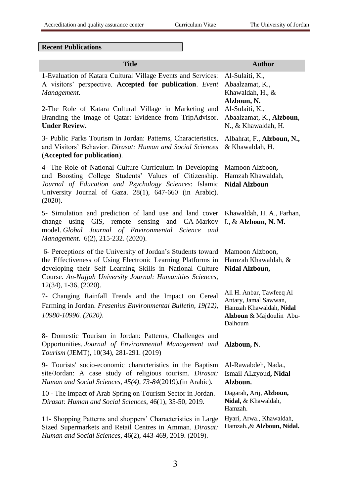**Recent Publications** 

| <b>Title</b>                                                                                                                                                                                                                                                                          | <b>Author</b>                                                                                                       |
|---------------------------------------------------------------------------------------------------------------------------------------------------------------------------------------------------------------------------------------------------------------------------------------|---------------------------------------------------------------------------------------------------------------------|
| 1-Evaluation of Katara Cultural Village Events and Services:<br>A visitors' perspective. Accepted for publication. Event<br>Management.                                                                                                                                               | Al-Sulaiti, K.,<br>Abaalzamat, K.,<br>Khawaldah, H., &<br>Alzboun, N.                                               |
| 2-The Role of Katara Cultural Village in Marketing and<br>Branding the Image of Qatar: Evidence from TripAdvisor.<br><b>Under Review.</b>                                                                                                                                             | Al-Sulaiti, K.,<br>Abaalzamat, K., Alzboun,<br>N., & Khawaldah, H.                                                  |
| 3- Public Parks Tourism in Jordan: Patterns, Characteristics,<br>and Visitors' Behavior. Dirasat: Human and Social Sciences<br>(Accepted for publication).                                                                                                                            | Albahrat, F., Alzboun, N.,<br>& Khawaldah, H.                                                                       |
| 4- The Role of National Culture Curriculum in Developing<br>and Boosting College Students' Values of Citizenship.<br>Journal of Education and Psychology Sciences: Islamic<br>University Journal of Gaza. 28(1), 647-660 (in Arabic).<br>(2020).                                      | Mamoon Alzboon,<br>Hamzah Khawaldah,<br><b>Nidal Alzboun</b>                                                        |
| 5- Simulation and prediction of land use and land cover<br>change using GIS, remote sensing and CA-Markov<br>model. Global Journal of Environmental Science and<br>Management. 6(2), 215-232. (2020).                                                                                 | Khawaldah, H. A., Farhan,<br>I., & Alzboun, N. M.                                                                   |
| 6- Perceptions of the University of Jordan's Students toward<br>the Effectiveness of Using Electronic Learning Platforms in<br>developing their Self Learning Skills in National Culture<br>Course. An-Najjah University Journal: Humanities Sciences,<br>$12(34)$ , 1-36, $(2020)$ . | Mamoon Alzboon,<br>Hamzah Khawaldah, &<br>Nidal Alzboun,                                                            |
| 7- Changing Rainfall Trends and the Impact on Cereal<br>Farming in Jordan. Fresenius Environmental Bulletin, 19(12),<br>10980-10996. (2020).                                                                                                                                          | Ali H. Anbar, Tawfeeq Al<br>Antary, Jamal Sawwan,<br>Hamzah Khawaldah, Nidal<br>Alzboun & Majdoulin Abu-<br>Dalhoum |
| 8- Domestic Tourism in Jordan: Patterns, Challenges and<br>Opportunities. Journal of Environmental Management and<br>Tourism (JEMT), 10(34), 281-291. (2019)                                                                                                                          | Alzboun, N.                                                                                                         |
| 9- Tourists' socio-economic characteristics in the Baptism<br>site/Jordan: A case study of religious tourism. Dirasat:<br>Human and Social Sciences, 45(4), 73-84(2019). (in Arabic).                                                                                                 | Al-Rawabdeh, Nada.,<br>Ismail ALzyoud, Nidal<br>Alzboun.                                                            |
| 10 - The Impact of Arab Spring on Tourism Sector in Jordan.<br>Dirasat: Human and Social Sciences, 46(1), 35-50, 2019.                                                                                                                                                                | Dagarah, Arij, Alzboun,<br>Nidal, & Khawaldah,<br>Hamzah.                                                           |
| 11- Shopping Patterns and shoppers' Characteristics in Large<br>Sized Supermarkets and Retail Centres in Amman. Dirasat:<br>Human and Social Sciences, 46(2), 443-469, 2019. (2019).                                                                                                  | Hyari, Arwa., Khawaldah,<br>Hamzah., & Alzboun, Nidal.                                                              |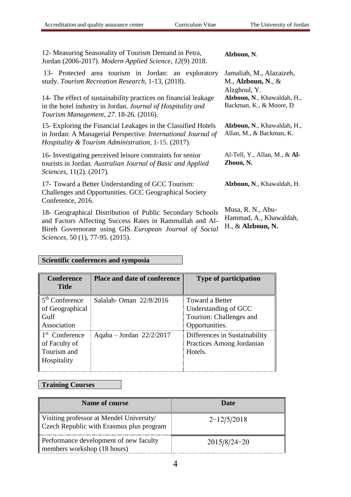| 12- Measuring Seasonality of Tourism Demand in Petra,<br>Jordan (2006-2017). Modern Applied Science, 12(9) 2018.                                                                                                                                                                      | Alzboun, N.                                                                                                                 |
|---------------------------------------------------------------------------------------------------------------------------------------------------------------------------------------------------------------------------------------------------------------------------------------|-----------------------------------------------------------------------------------------------------------------------------|
| 13- Protected area tourism in Jordan: an exploratory<br>study. Tourism Recreation Research, 1-13, (2018).<br>14- The effect of sustainability practices on financial leakage<br>in the hotel industry in Jordan. Journal of Hospitality and<br>Tourism Management, 27, 18-26. (2016). | Jamaliah, M., Alazaizeh,<br>M., Alzboun, N., $\&$<br>Alzghoul, Y.<br>Alzboun, N., Khawaldah, H.<br>Backman, K., & Moore, D. |
| 15- Exploring the Financial Leakages in the Classified Hotels<br>in Jordan: A Managerial Perspective. International Journal of<br><i>Hospitality &amp; Tourism Administration, 1-15. (2017).</i>                                                                                      | Alzboun, N., Khawaldah, H.<br>Allan, M., & Backman, K.                                                                      |
| 16- Investigating perceived leisure constraints for senior<br>tourists in Jordan. Australian Journal of Basic and Applied<br>Sciences, 11(2). (2017).                                                                                                                                 | Al-Tell, Y., Allan, M., & Al-<br>Zboun, N.                                                                                  |
| 17- Toward a Better Understanding of GCC Tourism:<br>Challenges and Opportunities. GCC Geographical Society<br>Conference, 2016.                                                                                                                                                      | Alzboun, N., Khawaldah, H.                                                                                                  |

18- Geographical Distribution of Public Secondary Schools and Factors Affecting Success Rates in Rammallah and Al-Bireh Governorate using GIS. *European Journal of Social Sciences,* 50 (1), 77-95. (2015).

Musa, R. N., Abu-Hammad, A., Khawaldah, H., & **Alzboun, N.**

# **Scientific conferences and symposia**

| <b>Conference</b><br><b>Title</b>                                         | <b>Place and date of conference</b> | <b>Type of participation</b>                                                         |
|---------------------------------------------------------------------------|-------------------------------------|--------------------------------------------------------------------------------------|
| $5th$ Conference<br>of Geographical<br>Gulf<br>Association                | Salalah-Oman 22/8/2016              | Toward a Better<br>Understanding of GCC<br>Tourism: Challenges and<br>Opportunities. |
| 1 <sup>st</sup> Conference<br>of Faculty of<br>Tourism and<br>Hospitality | Aqaba - Jordan $22/2/2017$          | Differences in Sustainability<br>Practices Among Jordanian<br>Hotels.                |

# **Training Courses**

| <b>Name of course</b>                                                                | Date             |
|--------------------------------------------------------------------------------------|------------------|
| Visiting professor at Mendel University/<br>Czech Republic with Erasmus plus program | $2 - 12/5/2018$  |
| Performance development of new faculty<br>members workshop (18 hours)                | $2015/8/24 - 20$ |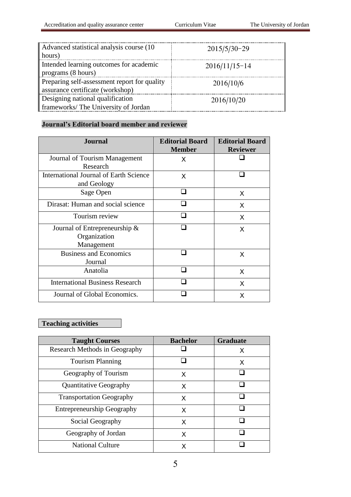| Advanced statistical analysis course (10)<br>hours)                              | $2015/5/30-29$  |
|----------------------------------------------------------------------------------|-----------------|
| Intended learning outcomes for academic<br>programs (8 hours)                    | $2016/11/15-14$ |
| Preparing self-assessment report for quality<br>assurance certificate (workshop) | 2016/10/6       |
| Designing national qualification<br>frameworks/The University of Jordan          | 2016/10/20      |

# **Journal's Editorial board member and reviewer**

| <b>Journal</b>                                | <b>Editorial Board</b><br><b>Member</b> | <b>Editorial Board</b><br><b>Reviewer</b> |
|-----------------------------------------------|-----------------------------------------|-------------------------------------------|
| Journal of Tourism Management                 | X                                       |                                           |
| Research                                      |                                         |                                           |
| <b>International Journal of Earth Science</b> | X                                       |                                           |
| and Geology                                   |                                         |                                           |
| Sage Open                                     |                                         | X                                         |
| Dirasat: Human and social science             |                                         | X                                         |
| Tourism review                                |                                         | X                                         |
| Journal of Entrepreneurship $\&$              |                                         | X                                         |
| Organization                                  |                                         |                                           |
| Management                                    |                                         |                                           |
| <b>Business and Economics</b>                 |                                         | X                                         |
| Journal                                       |                                         |                                           |
| Anatolia                                      |                                         | X                                         |
| <b>International Business Research</b>        |                                         | X                                         |
| Journal of Global Economics.                  |                                         | X                                         |

# **Teaching activities**

| <b>Taught Courses</b>             | <b>Bachelor</b> | <b>Graduate</b> |
|-----------------------------------|-----------------|-----------------|
| Research Methods in Geography     |                 | X               |
| <b>Tourism Planning</b>           |                 | X               |
| Geography of Tourism              | X               |                 |
| <b>Quantitative Geography</b>     | X               |                 |
| <b>Transportation Geography</b>   | X               |                 |
| <b>Entrepreneurship Geography</b> | x               |                 |
| Social Geography                  | X               |                 |
| Geography of Jordan               | X               |                 |
| <b>National Culture</b>           |                 |                 |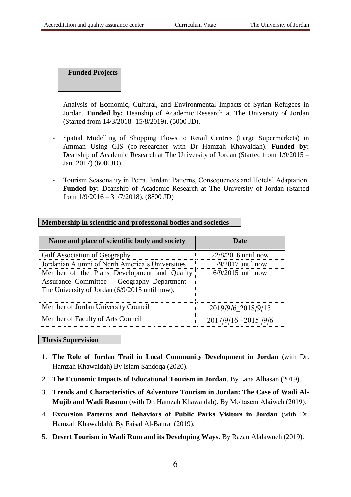**Funded Projects**

- Analysis of Economic, Cultural, and Environmental Impacts of Syrian Refugees in Jordan. **Funded by:** Deanship of Academic Research at The University of Jordan (Started from 14/3/2018- 15/8/2019). (5000 JD).
- Spatial Modelling of Shopping Flows to Retail Centres (Large Supermarkets) in Amman Using GIS (co-researcher with Dr Hamzah Khawaldah). **Funded by:**  Deanship of Academic Research at The University of Jordan (Started from 1/9/2015 – Jan. 2017) (6000JD).
- Tourism Seasonality in Petra, Jordan: Patterns, Consequences and Hotels' Adaptation. **Funded by:** Deanship of Academic Research at The University of Jordan (Started from 1/9/2016 – 31/7/2018). (8800 JD)

| Name and place of scientific body and society                                                                                                 | Date                   |
|-----------------------------------------------------------------------------------------------------------------------------------------------|------------------------|
| Gulf Association of Geography                                                                                                                 | $22/8/2016$ until now  |
| Jordanian Alumni of North America's Universities                                                                                              | $1/9/2017$ until now   |
| Member of the Plans Development and Quality<br>Assurance Committee - Geography Department -<br>The University of Jordan (6/9/2015 until now). | $6/9/2015$ until now   |
| Member of Jordan University Council                                                                                                           | 2019/9/6_2018/9/15     |
| Member of Faculty of Arts Council                                                                                                             | $2017/9/16 - 2015/9/6$ |

#### **Membership in scientific and professional bodies and societies**

#### **Thesis Supervision**

- 1. **The Role of Jordan Trail in Local Community Development in Jordan** (with Dr. Hamzah Khawaldah) By Islam Sandoqa (2020).
- 2. **The Economic Impacts of Educational Tourism in Jordan**. By Lana Alhasan (2019).
- 3. **Trends and Characteristics of Adventure Tourism in Jordan: The Case of Wadi Al-Mujib and Wadi Rasoun** (with Dr. Hamzah Khawaldah). By Mo'tasem Alaiweh (2019).
- 4. **Excursion Patterns and Behaviors of Public Parks Visitors in Jordan** (with Dr. Hamzah Khawaldah). By Faisal Al-Bahrat (2019).
- 5. **Desert Tourism in Wadi Rum and its Developing Ways**. By Razan Alalawneh (2019).